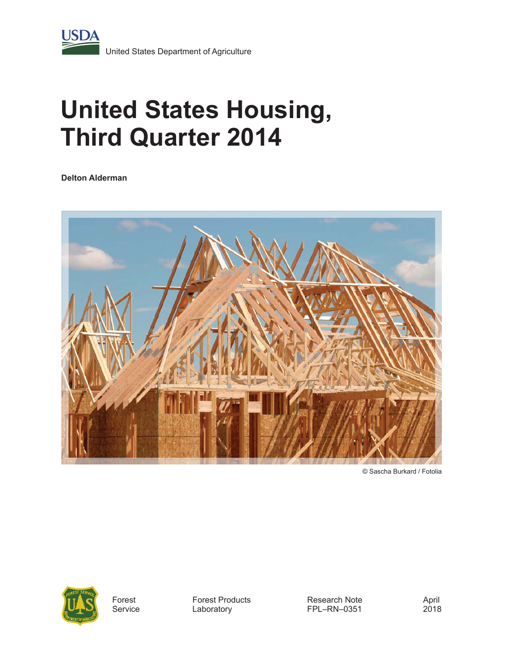

# **United States Housing, Third Quarter 2014**

**Delton Alderman**



© Sascha Burkard / Fotolia



Forest **Service**  Forest Products Laboratory

Research Note FPL–RN–0351

April 2018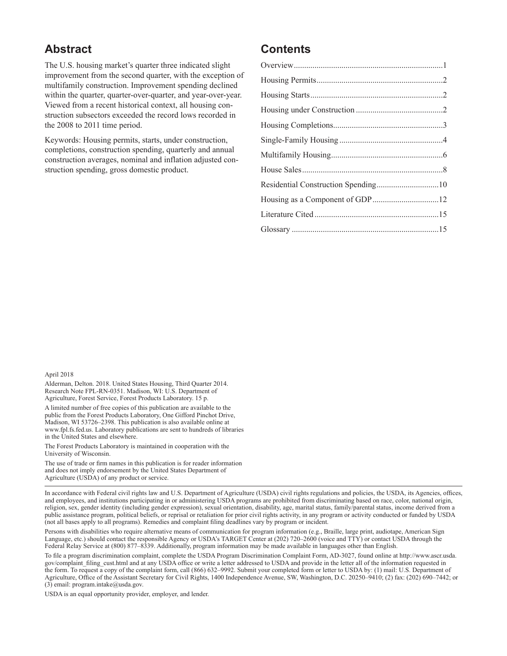#### **Abstract**

The U.S. housing market's quarter three indicated slight improvement from the second quarter, with the exception of multifamily construction. Improvement spending declined within the quarter, quarter-over-quarter, and year-over-year. Viewed from a recent historical context, all housing construction subsectors exceeded the record lows recorded in the 2008 to 2011 time period.

Keywords: Housing permits, starts, under construction, completions, construction spending, quarterly and annual construction averages, nominal and inflation adjusted construction spending, gross domestic product.

#### **Contents**

| Residential Construction Spending10 |  |
|-------------------------------------|--|
|                                     |  |
|                                     |  |
|                                     |  |
|                                     |  |

#### April 2018

Alderman, Delton. 2018. United States Housing, Third Quarter 2014. Research Note FPL-RN-0351. Madison, WI: U.S. Department of Agriculture, Forest Service, Forest Products Laboratory. 15 p.

A limited number of free copies of this publication are available to the public from the Forest Products Laboratory, One Gifford Pinchot Drive, Madison, WI 53726–2398. This publication is also available online at www.fpl.fs.fed.us. Laboratory publications are sent to hundreds of libraries in the United States and elsewhere.

The Forest Products Laboratory is maintained in cooperation with the University of Wisconsin.

The use of trade or firm names in this publication is for reader information and does not imply endorsement by the United States Department of Agriculture (USDA) of any product or service.

In accordance with Federal civil rights law and U.S. Department of Agriculture (USDA) civil rights regulations and policies, the USDA, its Agencies, offices, and employees, and institutions participating in or administering USDA programs are prohibited from discriminating based on race, color, national origin, religion, sex, gender identity (including gender expression), sexual orientation, disability, age, marital status, family/parental status, income derived from a public assistance program, political beliefs, or reprisal or retaliation for prior civil rights activity, in any program or activity conducted or funded by USDA (not all bases apply to all programs). Remedies and complaint filing deadlines vary by program or incident.

Persons with disabilities who require alternative means of communication for program information (e.g., Braille, large print, audiotape, American Sign Language, etc.) should contact the responsible Agency or USDA's TARGET Center at (202) 720–2600 (voice and TTY) or contact USDA through the Federal Relay Service at (800) 877–8339. Additionally, program information may be made available in languages other than English.

To file a program discrimination complaint, complete the USDA Program Discrimination Complaint Form, AD-3027, found online at http://www.ascr.usda. gov/complaint\_filing\_cust.html and at any USDA office or write a letter addressed to USDA and provide in the letter all of the information requested in the form. To request a copy of the complaint form, call (866) 632-9992. Submit your completed form or letter to USDA by: (1) mail: U.S. Department of Agriculture, Office of the Assistant Secretary for Civil Rights, 1400 Independence Avenue, SW, Washington, D.C. 20250–9410; (2) fax: (202) 690–7442; or (3) email: program.intake@usda.gov.

USDA is an equal opportunity provider, employer, and lender.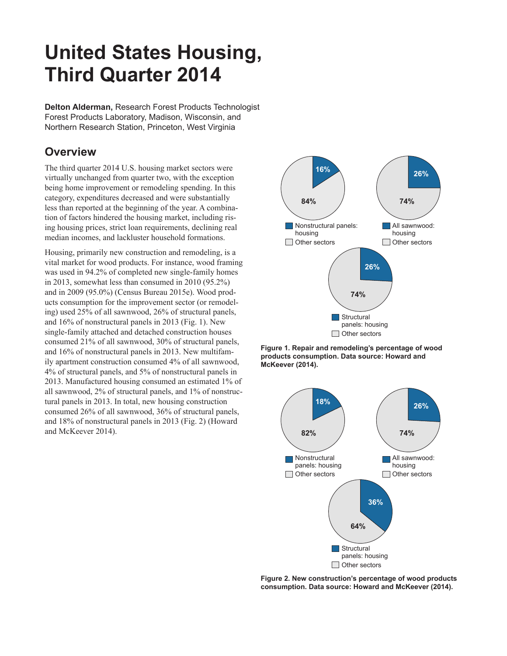## **United States Housing, Third Quarter 2014**

**Delton Alderman,** Research Forest Products Technologist Forest Products Laboratory, Madison, Wisconsin, and Northern Research Station, Princeton, West Virginia

## **Overview**

The third quarter 2014 U.S. housing market sectors were virtually unchanged from quarter two, with the exception being home improvement or remodeling spending. In this category, expenditures decreased and were substantially less than reported at the beginning of the year. A combination of factors hindered the housing market, including rising housing prices, strict loan requirements, declining real median incomes, and lackluster household formations.

Housing, primarily new construction and remodeling, is a vital market for wood products. For instance, wood framing was used in 94.2% of completed new single-family homes in 2013, somewhat less than consumed in 2010 (95.2%) and in 2009 (95.0%) (Census Bureau 2015e). Wood products consumption for the improvement sector (or remodeling) used 25% of all sawnwood, 26% of structural panels, and 16% of nonstructural panels in 2013 (Fig. 1). New single-family attached and detached construction houses consumed 21% of all sawnwood, 30% of structural panels, and 16% of nonstructural panels in 2013. New multifamily apartment construction consumed 4% of all sawnwood, 4% of structural panels, and 5% of nonstructural panels in 2013. Manufactured housing consumed an estimated 1% of all sawnwood, 2% of structural panels, and 1% of nonstructural panels in 2013. In total, new housing construction consumed 26% of all sawnwood, 36% of structural panels, and 18% of nonstructural panels in 2013 (Fig. 2) (Howard and McKeever 2014).



**Figure 1. Repair and remodeling's percentage of wood products consumption. Data source: Howard and McKeever (2014).**



Figure 2. New construction's percentage of wood products **consumption. Data source: Howard and McKeever (2014).**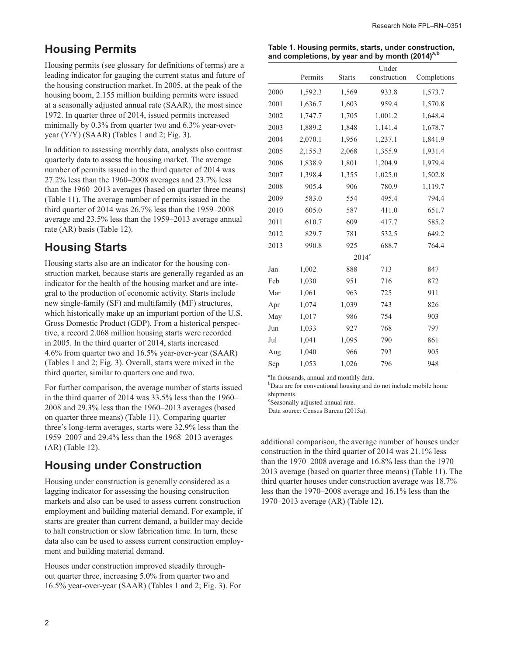#### **Housing Permits**

Housing permits (see glossary for definitions of terms) are a leading indicator for gauging the current status and future of the housing construction market. In 2005, at the peak of the housing boom, 2.155 million building permits were issued at a seasonally adjusted annual rate (SAAR), the most since 1972. In quarter three of 2014, issued permits increased minimally by 0.3% from quarter two and 6.3% year-overyear  $(Y/Y)$  (SAAR) (Tables 1 and 2; Fig. 3).

In addition to assessing monthly data, analysts also contrast quarterly data to assess the housing market. The average number of permits issued in the third quarter of 2014 was 27.2% less than the 1960–2008 averages and 23.7% less than the 1960–2013 averages (based on quarter three means) (Table 11). The average number of permits issued in the third quarter of 2014 was 26.7% less than the 1959–2008 average and 23.5% less than the 1959–2013 average annual rate (AR) basis (Table 12).

#### **Housing Starts**

Housing starts also are an indicator for the housing construction market, because starts are generally regarded as an indicator for the health of the housing market and are integral to the production of economic activity. Starts include new single-family (SF) and multifamily (MF) structures, which historically make up an important portion of the U.S. Gross Domestic Product (GDP). From a historical perspective, a record 2.068 million housing starts were recorded in 2005. In the third quarter of 2014, starts increased 4.6% from quarter two and 16.5% year-over-year (SAAR) (Tables 1 and 2; Fig. 3). Overall, starts were mixed in the third quarter, similar to quarters one and two.

For further comparison, the average number of starts issued in the third quarter of 2014 was 33.5% less than the 1960– 2008 and 29.3% less than the 1960–2013 averages (based on quarter three means) (Table 11). Comparing quarter three's long-term averages, starts were 32.9% less than the 1959–2007 and 29.4% less than the 1968–2013 averages (AR) (Table 12).

#### **Housing under Construction**

Housing under construction is generally considered as a lagging indicator for assessing the housing construction markets and also can be used to assess current construction employment and building material demand. For example, if starts are greater than current demand, a builder may decide to halt construction or slow fabrication time. In turn, these data also can be used to assess current construction employment and building material demand.

Houses under construction improved steadily throughout quarter three, increasing 5.0% from quarter two and 16.5% year-over-year (SAAR) (Tables 1 and 2; Fig. 3). For

2

| Table 1. Housing permits, starts, under construction,       |
|-------------------------------------------------------------|
| and completions, by year and by month (2014) <sup>a,b</sup> |

|      |         |                | Under        |             |
|------|---------|----------------|--------------|-------------|
|      | Permits | <b>Starts</b>  | construction | Completions |
| 2000 | 1,592.3 | 1,569          | 933.8        | 1,573.7     |
| 2001 | 1,636.7 | 1,603          | 959.4        | 1,570.8     |
| 2002 | 1,747.7 | 1,705          | 1,001.2      | 1,648.4     |
| 2003 | 1,889.2 | 1,848          | 1,141.4      | 1,678.7     |
| 2004 | 2,070.1 | 1,956          | 1,237.1      | 1,841.9     |
| 2005 | 2,155.3 | 2,068          | 1,355.9      | 1,931.4     |
| 2006 | 1,838.9 | 1,801          | 1,204.9      | 1,979.4     |
| 2007 | 1,398.4 | 1,355          | 1,025.0      | 1,502.8     |
| 2008 | 905.4   | 906            | 780.9        | 1,119.7     |
| 2009 | 583.0   | 554            | 495.4        | 794.4       |
| 2010 | 605.0   | 587            | 411.0        | 651.7       |
| 2011 | 610.7   | 609            | 417.7        | 585.2       |
| 2012 | 829.7   | 781            | 532.5        | 649.2       |
| 2013 | 990.8   | 925            | 688.7        | 764.4       |
|      |         | $2014^{\circ}$ |              |             |
| Jan  | 1,002   | 888            | 713          | 847         |
| Feb  | 1,030   | 951            | 716          | 872         |
| Mar  | 1,061   | 963            | 725          | 911         |
| Apr  | 1,074   | 1,039          | 743          | 826         |
| May  | 1,017   | 986            | 754          | 903         |
| Jun  | 1,033   | 927            | 768          | 797         |
| Jul  | 1,041   | 1,095          | 790          | 861         |
| Aug  | 1,040   | 966            | 793          | 905         |
| Sep  | 1,053   | 1,026          | 796          | 948         |

<sup>a</sup>In thousands, annual and monthly data.

<sup>b</sup>Data are for conventional housing and do not include mobile home shipments.

c Seasonally adjusted annual rate.

Data source: Census Bureau (2015a).

additional comparison, the average number of houses under construction in the third quarter of 2014 was 21.1% less than the 1970–2008 average and 16.8% less than the 1970– 2013 average (based on quarter three means) (Table 11). The third quarter houses under construction average was 18.7% less than the 1970–2008 average and 16.1% less than the 1970–2013 average (AR) (Table 12).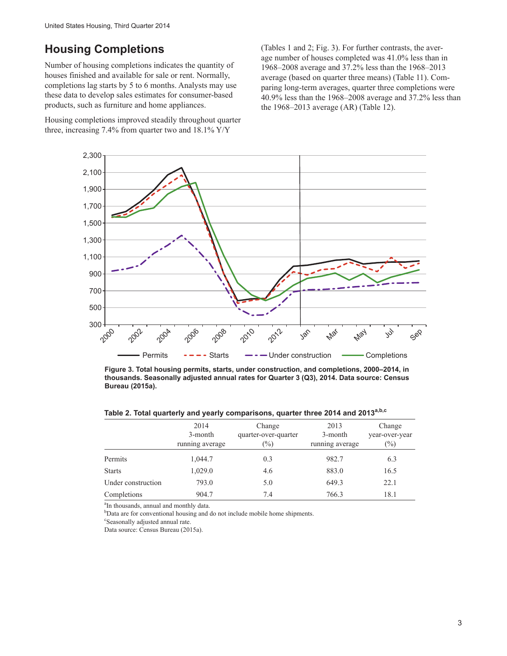#### **Housing Completions**

Number of housing completions indicates the quantity of houses finished and available for sale or rent. Normally, completions lag starts by 5 to 6 months. Analysts may use these data to develop sales estimates for consumer-based products, such as furniture and home appliances.

Housing completions improved steadily throughout quarter three, increasing 7.4% from quarter two and 18.1% Y/Y

(Tables 1 and 2; Fig. 3). For further contrasts, the average number of houses completed was 41.0% less than in 1968–2008 average and 37.2% less than the 1968–2013 average (based on quarter three means) (Table 11). Comparing long-term averages, quarter three completions were 40.9% less than the 1968–2008 average and 37.2% less than the 1968–2013 average (AR) (Table 12).



**Figure 3. Total housing permits, starts, under construction, and completions, 2000–2014, in thousands. Seasonally adjusted annual rates for Quarter 3 (Q3), 2014. Data source: Census Bureau (2015a).**

|                    | 2014<br>3-month<br>running average | Change<br>quarter-over-quarter<br>$(\%)$ | 2013<br>3-month<br>running average | Change<br>year-over-year<br>$(\%)$ |
|--------------------|------------------------------------|------------------------------------------|------------------------------------|------------------------------------|
| Permits            | 1,044.7                            | 0.3                                      | 982.7                              | 6.3                                |
| <b>Starts</b>      | 1,029.0                            | 4.6                                      | 883.0                              | 16.5                               |
| Under construction | 793.0                              | 5.0                                      | 649.3                              | 22.1                               |
| Completions        | 904.7                              | 7.4                                      | 766.3                              | 18.1                               |

**Table 2. Total quarterly and yearly comparisons, quarter three 2014 and 2013a,b,c**

<sup>a</sup>In thousands, annual and monthly data.

<sup>b</sup>Data are for conventional housing and do not include mobile home shipments.

c Seasonally adjusted annual rate.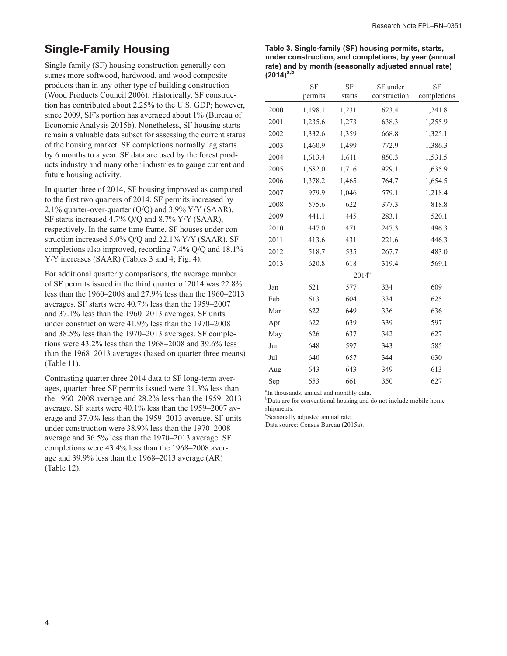#### **Single-Family Housing**

Single-family (SF) housing construction generally consumes more softwood, hardwood, and wood composite products than in any other type of building construction (Wood Products Council 2006). Historically, SF construction has contributed about 2.25% to the U.S. GDP; however, since 2009, SF's portion has averaged about 1% (Bureau of Economic Analysis 2015b). Nonetheless, SF housing starts remain a valuable data subset for assessing the current status of the housing market. SF completions normally lag starts by 6 months to a year. SF data are used by the forest products industry and many other industries to gauge current and future housing activity.

In quarter three of 2014, SF housing improved as compared to the first two quarters of 2014. SF permits increased by 2.1% quarter-over-quarter  $(Q/Q)$  and 3.9%  $Y/Y$  (SAAR). SF starts increased 4.7% Q/Q and 8.7% Y/Y (SAAR), respectively. In the same time frame, SF houses under construction increased 5.0% Q/Q and 22.1% Y/Y (SAAR). SF completions also improved, recording 7.4% Q/Q and 18.1% Y/Y increases (SAAR) (Tables 3 and 4; Fig. 4).

For additional quarterly comparisons, the average number of SF permits issued in the third quarter of 2014 was 22.8% less than the 1960–2008 and 27.9% less than the 1960–2013 averages. SF starts were 40.7% less than the 1959–2007 and 37.1% less than the 1960–2013 averages. SF units under construction were 41.9% less than the 1970–2008 and 38.5% less than the 1970–2013 averages. SF completions were 43.2% less than the 1968–2008 and 39.6% less than the 1968–2013 averages (based on quarter three means) (Table 11).

Contrasting quarter three 2014 data to SF long-term averages, quarter three SF permits issued were 31.3% less than the 1960–2008 average and 28.2% less than the 1959–2013 average. SF starts were 40.1% less than the 1959–2007 average and 37.0% less than the 1959–2013 average. SF units under construction were 38.9% less than the 1970–2008 average and 36.5% less than the 1970–2013 average. SF completions were 43.4% less than the 1968–2008 average and 39.9% less than the 1968–2013 average (AR) (Table 12).

**Table 3. Single-family (SF) housing permits, starts, under construction, and completions, by year (annual rate) and by month (seasonally adjusted annual rate) (2014)a,b**

|                | <b>SF</b> | <b>SF</b>      | SF under     | <b>SF</b>   |
|----------------|-----------|----------------|--------------|-------------|
|                | permits   | starts         | construction | completions |
| 2000           | 1,198.1   | 1,231          | 623.4        | 1,241.8     |
| 2001           | 1,235.6   | 1,273          | 638.3        | 1,255.9     |
| 2002           | 1,332.6   | 1,359          | 668.8        | 1,325.1     |
| 2003           | 1,460.9   | 1,499          | 772.9        | 1,386.3     |
| 2004           | 1,613.4   | 1,611          | 850.3        | 1,531.5     |
| 2005           | 1,682.0   | 1,716          | 929.1        | 1,635.9     |
| 2006           | 1,378.2   | 1,465          | 764.7        | 1,654.5     |
| 2007           | 979.9     | 1,046          | 579.1        | 1,218.4     |
| 2008           | 575.6     | 622            | 377.3        | 818.8       |
| 2009           | 441.1     | 445            | 283.1        | 520.1       |
| 2010           | 447.0     | 471            | 247.3        | 496.3       |
| 2011           | 413.6     | 431            | 221.6        | 446.3       |
| 2012           | 518.7     | 535            | 267.7        | 483.0       |
| 2013           | 620.8     | 618            | 319.4        | 569.1       |
|                |           | $2014^{\circ}$ |              |             |
| Jan            | 621       | 577            | 334          | 609         |
| Feb            | 613       | 604            | 334          | 625         |
| Mar            | 622       | 649            | 336          | 636         |
| Apr            | 622       | 639            | 339          | 597         |
| May            | 626       | 637            | 342          | 627         |
| Jun            | 648       | 597            | 343          | 585         |
| $\mathrm{Jul}$ | 640       | 657            | 344          | 630         |
| Aug            | 643       | 643            | 349          | 613         |
| Sep            | 653       | 661            | 350          | 627         |

<sup>a</sup>In thousands, annual and monthly data.

<sup>b</sup>Data are for conventional housing and do not include mobile home shipments.

c Seasonally adjusted annual rate.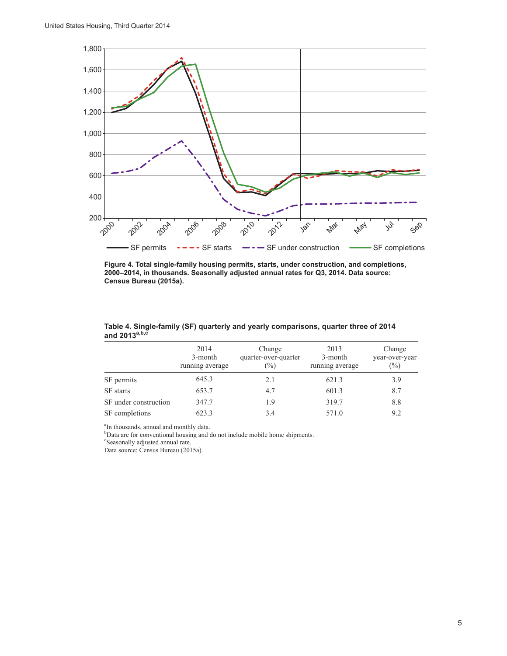

**Figure 4. Total single-family housing permits, starts, under construction, and completions, 2000–2014, in thousands. Seasonally adjusted annual rates for Q3, 2014. Data source: Census Bureau (2015a).**

|                       | 2014<br>3-month<br>running average | Change<br>quarter-over-quarter<br>$(\% )$ | 2013<br>3-month<br>running average | Change<br>year-over-year<br>(%) |
|-----------------------|------------------------------------|-------------------------------------------|------------------------------------|---------------------------------|
| SF permits            | 645.3                              | 2.1                                       | 621.3                              | 3.9                             |
| SF starts             | 653.7                              | 4.7                                       | 601.3                              | 8.7                             |
| SF under construction | 347.7                              | 1.9                                       | 319.7                              | 8.8                             |
| SF completions        | 623.3                              | 3.4                                       | 571.0                              | 9.2                             |

**Table 4. Single-family (SF) quarterly and yearly comparisons, quarter three of 2014 and 2013a,b,c**

<sup>a</sup>In thousands, annual and monthly data.

<sup>b</sup>Data are for conventional housing and do not include mobile home shipments.

c Seasonally adjusted annual rate.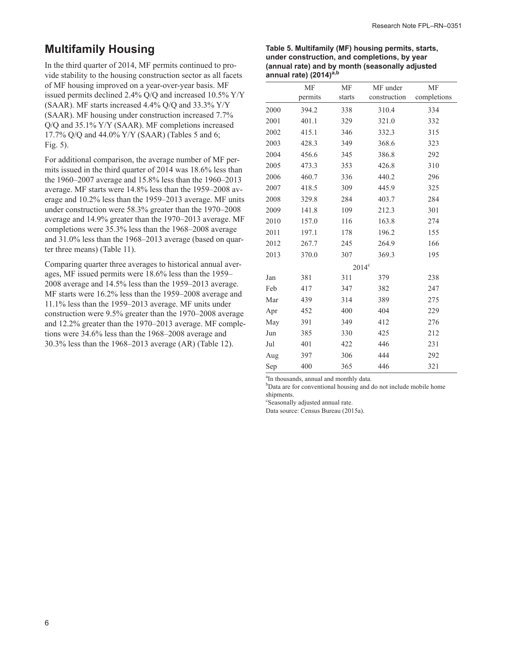### **Multifamily Housing**

In the third quarter of 2014, MF permits continued to provide stability to the housing construction sector as all facets of MF housing improved on a year-over-year basis. MF issued permits declined 2.4% Q/Q and increased 10.5% Y/Y (SAAR). MF starts increased 4.4% Q/Q and 33.3% Y/Y (SAAR). MF housing under construction increased 7.7% Q/Q and 35.1% Y/Y (SAAR). MF completions increased 17.7% Q/Q and 44.0% Y/Y (SAAR) (Tables 5 and 6; Fig. 5).

For additional comparison, the average number of MF permits issued in the third quarter of 2014 was 18.6% less than the 1960–2007 average and 15.8% less than the 1960–2013 average. MF starts were 14.8% less than the 1959–2008 average and 10.2% less than the 1959–2013 average. MF units under construction were 58.3% greater than the 1970–2008 average and 14.9% greater than the 1970–2013 average. MF completions were 35.3% less than the 1968–2008 average and 31.0% less than the 1968–2013 average (based on quarter three means) (Table 11).

Comparing quarter three averages to historical annual averages, MF issued permits were 18.6% less than the 1959– 2008 average and 14.5% less than the 1959–2013 average. MF starts were 16.2% less than the 1959–2008 average and 11.1% less than the 1959–2013 average. MF units under construction were 9.5% greater than the 1970–2008 average and 12.2% greater than the 1970–2013 average. MF completions were 34.6% less than the 1968–2008 average and 30.3% less than the 1968–2013 average (AR) (Table 12).

#### **Table 5. Multifamily (MF) housing permits, starts, under construction, and completions, by year (annual rate) and by month (seasonally adjusted annual rate) (2014)a,b**

|      | MF      | MF             | MF under     | <b>MF</b>   |
|------|---------|----------------|--------------|-------------|
|      | permits | starts         | construction | completions |
| 2000 | 394.2   | 338            | 310.4        | 334         |
| 2001 | 401.1   | 329            | 321.0        | 332         |
| 2002 | 415.1   | 346            | 332.3        | 315         |
| 2003 | 428.3   | 349            | 368.6        | 323         |
| 2004 | 456.6   | 345            | 386.8        | 292         |
| 2005 | 473.3   | 353            | 426.8        | 310         |
| 2006 | 460.7   | 336            | 440.2        | 296         |
| 2007 | 418.5   | 309            | 445.9        | 325         |
| 2008 | 329.8   | 284            | 403.7        | 284         |
| 2009 | 141.8   | 109            | 212.3        | 301         |
| 2010 | 157.0   | 116            | 163.8        | 274         |
| 2011 | 197.1   | 178            | 196.2        | 155         |
| 2012 | 267.7   | 245            | 264.9        | 166         |
| 2013 | 370.0   | 307            | 369.3        | 195         |
|      |         | $2014^{\circ}$ |              |             |
| Jan  | 381     | 311            | 379          | 238         |
| Feb  | 417     | 347            | 382          | 247         |
| Mar  | 439     | 314            | 389          | 275         |
| Apr  | 452     | 400            | 404          | 229         |
| May  | 391     | 349            | 412          | 276         |
| Jun  | 385     | 330            | 425          | 212         |
| Jul  | 401     | 422            | 446          | 231         |
| Aug  | 397     | 306            | 444          | 292         |
| Sep  | 400     | 365            | 446          | 321         |

<sup>a</sup>In thousands, annual and monthly data.

b Data are for conventional housing and do not include mobile home shipments.

c Seasonally adjusted annual rate.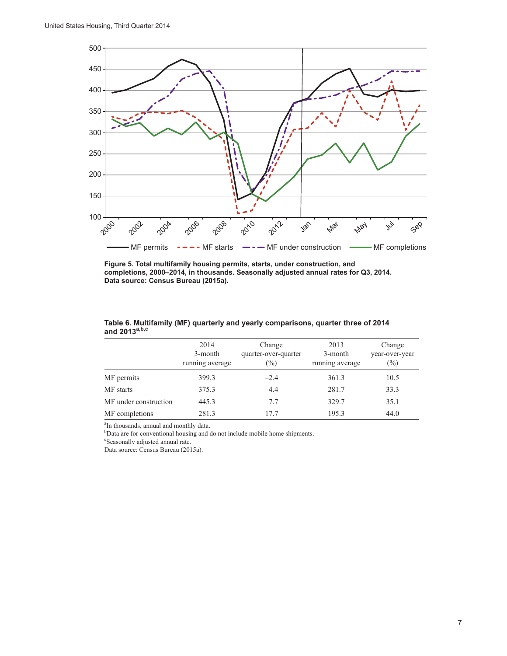

**Figure 5. Total multifamily housing permits, starts, under construction, and completions, 2000–2014, in thousands. Seasonally adjusted annual rates for Q3, 2014. Data source: Census Bureau (2015a).**

|                       | 2014<br>3-month<br>running average | Change<br>quarter-over-quarter<br>$\binom{0}{0}$ | 2013<br>3-month<br>running average | Change<br>year-over-year<br>$(\%)$ |
|-----------------------|------------------------------------|--------------------------------------------------|------------------------------------|------------------------------------|
| MF permits            | 399.3                              | $-2.4$                                           | 361.3                              | 10.5                               |
| MF starts             | 375.3                              | 4.4                                              | 281.7                              | 33.3                               |
| MF under construction | 445.3                              | 7.7                                              | 329.7                              | 35.1                               |
| MF completions        | 281.3                              | 17.7                                             | 195.3                              | 44.0                               |

**Table 6. Multifamily (MF) quarterly and yearly comparisons, quarter three of 2014 and 2013a,b,c**

<sup>a</sup>In thousands, annual and monthly data.

<sup>b</sup>Data are for conventional housing and do not include mobile home shipments.

c Seasonally adjusted annual rate.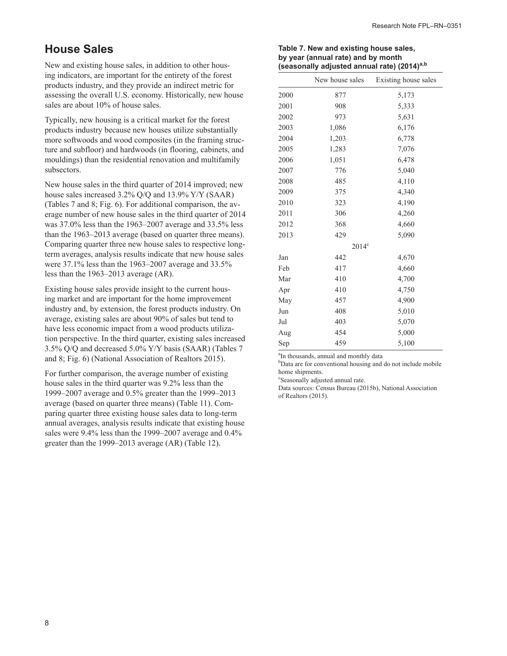#### **House Sales**

New and existing house sales, in addition to other housing indicators, are important for the entirety of the forest products industry, and they provide an indirect metric for assessing the overall U.S. economy. Historically, new house sales are about 10% of house sales.

Typically, new housing is a critical market for the forest products industry because new houses utilize substantially more softwoods and wood composites (in the framing structure and subfloor) and hardwoods (in flooring, cabinets, and mouldings) than the residential renovation and multifamily subsectors.

New house sales in the third quarter of 2014 improved; new house sales increased 3.2% Q/Q and 13.9% Y/Y (SAAR) (Tables 7 and 8; Fig. 6). For additional comparison, the average number of new house sales in the third quarter of 2014 was 37.0% less than the 1963–2007 average and 33.5% less than the 1963–2013 average (based on quarter three means). Comparing quarter three new house sales to respective longterm averages, analysis results indicate that new house sales were 37.1% less than the 1963–2007 average and 33.5% less than the 1963–2013 average (AR).

Existing house sales provide insight to the current housing market and are important for the home improvement industry and, by extension, the forest products industry. On average, existing sales are about 90% of sales but tend to have less economic impact from a wood products utilization perspective. In the third quarter, existing sales increased 3.5% Q/Q and decreased 5.0% Y/Y basis (SAAR) (Tables 7 and 8; Fig. 6) (National Association of Realtors 2015).

For further comparison, the average number of existing house sales in the third quarter was 9.2% less than the 1999–2007 average and 0.5% greater than the 1999–2013 average (based on quarter three means) (Table 11). Comparing quarter three existing house sales data to long-term annual averages, analysis results indicate that existing house sales were 9.4% less than the 1999–2007 average and 0.4% greater than the 1999–2013 average (AR) (Table 12).

| Table 7. New and existing house sales,                  |
|---------------------------------------------------------|
| by year (annual rate) and by month                      |
| (seasonally adjusted annual rate) (2014) <sup>a,b</sup> |

|      | New house sales | Existing house sales |  |  |
|------|-----------------|----------------------|--|--|
| 2000 | 877             | 5,173                |  |  |
| 2001 | 908             | 5,333                |  |  |
| 2002 | 973             | 5,631                |  |  |
| 2003 | 1,086           | 6,176                |  |  |
| 2004 | 1,203           | 6,778                |  |  |
| 2005 | 1,283           | 7,076                |  |  |
| 2006 | 1,051           | 6,478                |  |  |
| 2007 | 776             | 5,040                |  |  |
| 2008 | 485             | 4,110                |  |  |
| 2009 | 375             | 4,340                |  |  |
| 2010 | 323             | 4,190                |  |  |
| 2011 | 306             | 4,260                |  |  |
| 2012 | 368             | 4,660                |  |  |
| 2013 | 429             | 5,090                |  |  |
|      | $2014^{\circ}$  |                      |  |  |
| Jan  | 442             | 4,670                |  |  |
| Feb  | 417             | 4,660                |  |  |
| Mar  | 410             | 4,700                |  |  |
| Apr  | 410             | 4,750                |  |  |
| May  | 457             | 4,900                |  |  |
| Jun  | 408             | 5,010                |  |  |
| Jul  | 403             | 5,070                |  |  |
| Aug  | 454             | 5,000                |  |  |
| Sep  | 459             | 5,100                |  |  |

<sup>a</sup>In thousands, annual and monthly data

<sup>b</sup>Data are for conventional housing and do not include mobile home shipments.

c Seasonally adjusted annual rate.

Data sources: Census Bureau (2015b), National Association of Realtors (2015).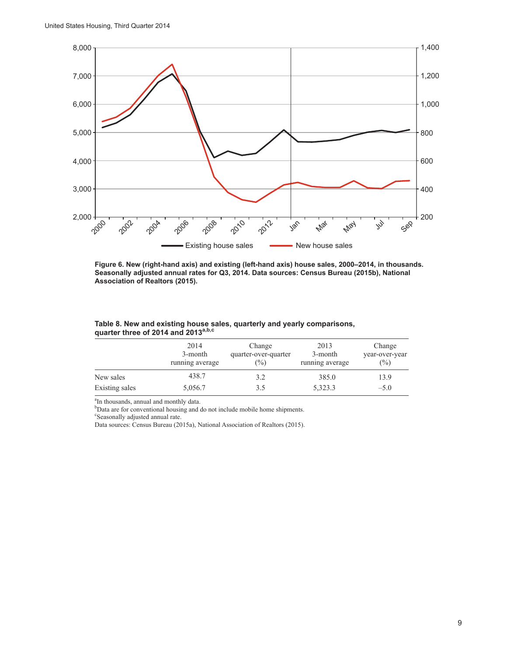

**Figure 6. New (right-hand axis) and existing (left-hand axis) house sales, 2000–2014, in thousands. Seasonally adjusted annual rates for Q3, 2014. Data sources: Census Bureau (2015b), National Association of Realtors (2015).**

|                | 2014<br>3-month<br>running average | Change<br>quarter-over-quarter<br>(%) | 2013<br>3-month<br>running average | Change<br>year-over-year<br>$(\%)$ |
|----------------|------------------------------------|---------------------------------------|------------------------------------|------------------------------------|
| New sales      | 438.7                              | 3.2                                   | 385.0                              | 13.9                               |
| Existing sales | 5,056.7                            | 3.5                                   | 5,323.3                            | $-5.0$                             |

#### **Table 8. New and existing house sales, quarterly and yearly comparisons, quarter three of 2014 and 2013a,b,c**

<sup>a</sup>In thousands, annual and monthly data.

<sup>b</sup>Data are for conventional housing and do not include mobile home shipments.

c Seasonally adjusted annual rate.

Data sources: Census Bureau (2015a), National Association of Realtors (2015).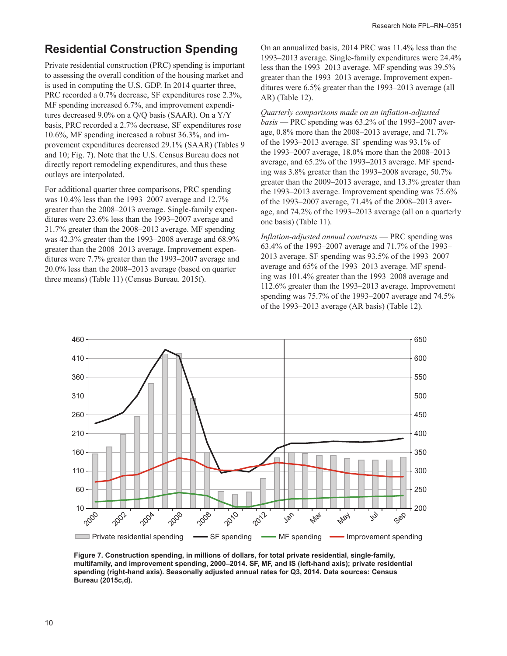#### **Residential Construction Spending**

Private residential construction (PRC) spending is important to assessing the overall condition of the housing market and is used in computing the U.S. GDP. In 2014 quarter three, PRC recorded a 0.7% decrease, SF expenditures rose 2.3%, MF spending increased 6.7%, and improvement expenditures decreased 9.0% on a Q/Q basis (SAAR). On a Y/Y basis, PRC recorded a 2.7% decrease, SF expenditures rose 10.6%, MF spending increased a robust 36.3%, and improvement expenditures decreased 29.1% (SAAR) (Tables 9 and 10; Fig. 7). Note that the U.S. Census Bureau does not directly report remodeling expenditures, and thus these outlays are interpolated.

For additional quarter three comparisons, PRC spending was 10.4% less than the 1993–2007 average and 12.7% greater than the 2008–2013 average. Single-family expenditures were 23.6% less than the 1993–2007 average and 31.7% greater than the 2008–2013 average. MF spending was 42.3% greater than the 1993–2008 average and 68.9% greater than the 2008–2013 average. Improvement expenditures were 7.7% greater than the 1993–2007 average and 20.0% less than the 2008–2013 average (based on quarter three means) (Table 11) (Census Bureau. 2015f).

On an annualized basis, 2014 PRC was 11.4% less than the 1993–2013 average. Single-family expenditures were 24.4% less than the 1993–2013 average. MF spending was 39.5% greater than the 1993–2013 average. Improvement expenditures were 6.5% greater than the 1993–2013 average (all AR) (Table 12).

*Quarterly comparisons made on an inflation-adjusted basis* — PRC spending was 63.2% of the 1993–2007 average, 0.8% more than the 2008–2013 average, and 71.7% of the 1993–2013 average. SF spending was 93.1% of the 1993–2007 average, 18.0% more than the 2008–2013 average, and 65.2% of the 1993–2013 average. MF spending was 3.8% greater than the 1993–2008 average, 50.7% greater than the 2009–2013 average, and 13.3% greater than the 1993–2013 average. Improvement spending was 75.6% of the 1993–2007 average, 71.4% of the 2008–2013 average, and 74.2% of the 1993–2013 average (all on a quarterly one basis) (Table 11).

*Inflation-adjusted annual contrasts* — PRC spending was 63.4% of the 1993–2007 average and 71.7% of the 1993– 2013 average. SF spending was 93.5% of the 1993–2007 average and 65% of the 1993–2013 average. MF spending was 101.4% greater than the 1993–2008 average and 112.6% greater than the 1993–2013 average. Improvement spending was 75.7% of the 1993–2007 average and 74.5% of the 1993–2013 average (AR basis) (Table 12).



**Figure 7. Construction spending, in millions of dollars, for total private residential, single-family, multifamily, and improvement spending, 2000–2014. SF, MF, and IS (left-hand axis); private residential spending (right-hand axis). Seasonally adjusted annual rates for Q3, 2014. Data sources: Census Bureau (2015c,d).**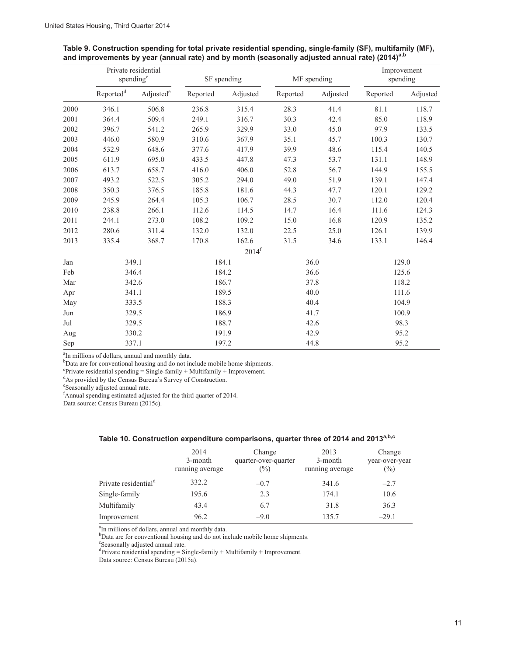|      | Private residential<br>spending <sup>c</sup> |                       |          | SF spending         |          | MF spending |          | Improvement<br>spending |
|------|----------------------------------------------|-----------------------|----------|---------------------|----------|-------------|----------|-------------------------|
|      | $\mbox{Reported}^d$                          | Adjusted <sup>e</sup> | Reported | Adjusted            | Reported | Adjusted    | Reported | Adjusted                |
| 2000 | 346.1                                        | 506.8                 | 236.8    | 315.4               | 28.3     | 41.4        | 81.1     | 118.7                   |
| 2001 | 364.4                                        | 509.4                 | 249.1    | 316.7               | 30.3     | 42.4        | 85.0     | 118.9                   |
| 2002 | 396.7                                        | 541.2                 | 265.9    | 329.9               | 33.0     | 45.0        | 97.9     | 133.5                   |
| 2003 | 446.0                                        | 580.9                 | 310.6    | 367.9               | 35.1     | 45.7        | 100.3    | 130.7                   |
| 2004 | 532.9                                        | 648.6                 | 377.6    | 417.9               | 39.9     | 48.6        | 115.4    | 140.5                   |
| 2005 | 611.9                                        | 695.0                 | 433.5    | 447.8               | 47.3     | 53.7        | 131.1    | 148.9                   |
| 2006 | 613.7                                        | 658.7                 | 416.0    | 406.0               | 52.8     | 56.7        | 144.9    | 155.5                   |
| 2007 | 493.2                                        | 522.5                 | 305.2    | 294.0               | 49.0     | 51.9        | 139.1    | 147.4                   |
| 2008 | 350.3                                        | 376.5                 | 185.8    | 181.6               | 44.3     | 47.7        | 120.1    | 129.2                   |
| 2009 | 245.9                                        | 264.4                 | 105.3    | 106.7               | 28.5     | 30.7        | 112.0    | 120.4                   |
| 2010 | 238.8                                        | 266.1                 | 112.6    | 114.5               | 14.7     | 16.4        | 111.6    | 124.3                   |
| 2011 | 244.1                                        | 273.0                 | 108.2    | 109.2               | 15.0     | 16.8        | 120.9    | 135.2                   |
| 2012 | 280.6                                        | 311.4                 | 132.0    | 132.0               | 22.5     | 25.0        | 126.1    | 139.9                   |
| 2013 | 335.4                                        | 368.7                 | 170.8    | 162.6               | 31.5     | 34.6        | 133.1    | 146.4                   |
|      |                                              |                       |          | $2014$ <sup>f</sup> |          |             |          |                         |
| Jan  |                                              | 349.1                 |          | 184.1               |          | 36.0        |          | 129.0                   |
| Feb  |                                              | 346.4                 | 184.2    |                     | 36.6     |             | 125.6    |                         |
| Mar  |                                              | 342.6                 |          | 186.7<br>37.8       |          |             | 118.2    |                         |
| Apr  | 341.1                                        |                       |          | 189.5               | 40.0     |             | 111.6    |                         |
| May  |                                              | 333.5                 | 188.3    |                     | 40.4     |             | 104.9    |                         |
| Jun  |                                              | 329.5                 |          | 186.9               | 41.7     |             | 100.9    |                         |
| Jul  |                                              | 329.5                 |          | 188.7               | 42.6     |             |          | 98.3                    |
| Aug  |                                              | 330.2                 |          | 191.9               |          | 42.9        |          | 95.2                    |
| Sep  |                                              | 337.1                 |          | 197.2               |          | 44.8        |          | 95.2                    |

| Table 9. Construction spending for total private residential spending, single-family (SF), multifamily (MF), |  |  |
|--------------------------------------------------------------------------------------------------------------|--|--|
| and improvements by year (annual rate) and by month (seasonally adjusted annual rate) (2014) <sup>a, p</sup> |  |  |

<sup>a</sup>In millions of dollars, annual and monthly data.

<sup>b</sup>Data are for conventional housing and do not include mobile home shipments.

<sup>e</sup>Private residential spending = Single-family + Multifamily + Improvement.<br><sup>d</sup>As provided by the Census Bureau's Survey of Construction.

e Seasonally adjusted annual rate. f Annual spending estimated adjusted for the third quarter of 2014.

Data source: Census Bureau (2015c).

| $\frac{1}{2}$ and $\frac{1}{2}$ and $\frac{1}{2}$ and $\frac{1}{2}$ and $\frac{1}{2}$ are $\frac{1}{2}$ and $\frac{1}{2}$ and $\frac{1}{2}$ and $\frac{1}{2}$ and $\frac{1}{2}$ and $\frac{1}{2}$ and $\frac{1}{2}$ and $\frac{1}{2}$ and $\frac{1}{2}$ and $\frac{1}{2}$ and $\frac{1}{2}$ a |                                    |                                          |                                    |                                 |  |  |
|-----------------------------------------------------------------------------------------------------------------------------------------------------------------------------------------------------------------------------------------------------------------------------------------------|------------------------------------|------------------------------------------|------------------------------------|---------------------------------|--|--|
|                                                                                                                                                                                                                                                                                               | 2014<br>3-month<br>running average | Change<br>quarter-over-quarter<br>$(\%)$ | 2013<br>3-month<br>running average | Change<br>year-over-year<br>(%) |  |  |
| Private residential <sup>d</sup>                                                                                                                                                                                                                                                              | 332.2                              | $-0.7$                                   | 341.6                              | $-2.7$                          |  |  |
| Single-family                                                                                                                                                                                                                                                                                 | 195.6                              | 2.3                                      | 174.1                              | 10.6                            |  |  |
| Multifamily                                                                                                                                                                                                                                                                                   | 43.4                               | 6.7                                      | 31.8                               | 36.3                            |  |  |
| Improvement                                                                                                                                                                                                                                                                                   | 96.2                               | $-9.0$                                   | 135.7                              | $-29.1$                         |  |  |

|  |  |  | Table 10. Construction expenditure comparisons, quarter three of 2014 and 2013 <sup>a,b,c</sup> |  |  |  |
|--|--|--|-------------------------------------------------------------------------------------------------|--|--|--|
|--|--|--|-------------------------------------------------------------------------------------------------|--|--|--|

<sup>a</sup>In millions of dollars, annual and monthly data.

<sup>a</sup>In millions of dollars, annual and monthly data.<br><sup>b</sup>Data are for conventional housing and do not include mobile home shipments.

c Seasonally adjusted annual rate.

<sup>d</sup>Private residential spending = Single-family + Multifamily + Improvement.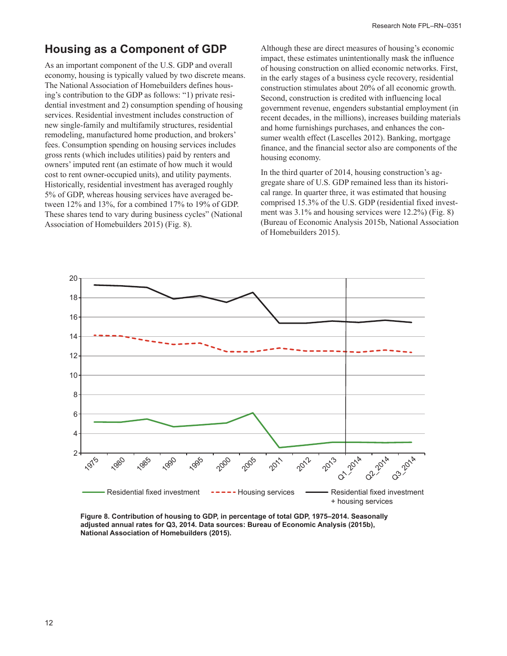## **Housing as a Component of GDP**

As an important component of the U.S. GDP and overall economy, housing is typically valued by two discrete means. The National Association of Homebuilders defines housing's contribution to the GDP as follows: "1) private residential investment and 2) consumption spending of housing services. Residential investment includes construction of new single-family and multifamily structures, residential remodeling, manufactured home production, and brokers' fees. Consumption spending on housing services includes gross rents (which includes utilities) paid by renters and owners' imputed rent (an estimate of how much it would cost to rent owner-occupied units), and utility payments. Historically, residential investment has averaged roughly 5% of GDP, whereas housing services have averaged between 12% and 13%, for a combined 17% to 19% of GDP. These shares tend to vary during business cycles" (National Association of Homebuilders 2015) (Fig. 8).

Although these are direct measures of housing's economic impact, these estimates unintentionally mask the influence of housing construction on allied economic networks. First, in the early stages of a business cycle recovery, residential construction stimulates about 20% of all economic growth. Second, construction is credited with influencing local government revenue, engenders substantial employment (in recent decades, in the millions), increases building materials and home furnishings purchases, and enhances the consumer wealth effect (Lascelles 2012). Banking, mortgage finance, and the financial sector also are components of the housing economy.

In the third quarter of 2014, housing construction's aggregate share of U.S. GDP remained less than its historical range. In quarter three, it was estimated that housing comprised 15.3% of the U.S. GDP (residential fixed investment was 3.1% and housing services were 12.2%) (Fig. 8) (Bureau of Economic Analysis 2015b, National Association of Homebuilders 2015).



**Figure 8. Contribution of housing to GDP, in percentage of total GDP, 1975–2014. Seasonally adjusted annual rates for Q3, 2014. Data sources: Bureau of Economic Analysis (2015b), National Association of Homebuilders (2015).**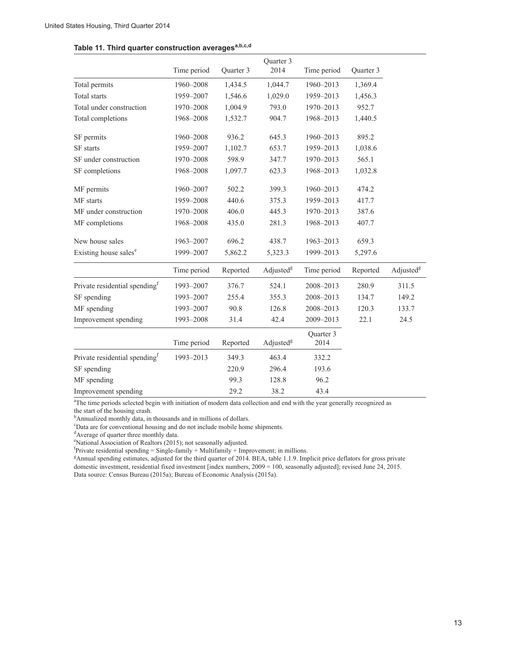|  |  |  |  | Table 11. Third quarter construction averages <sup>a,b,c,d</sup> |
|--|--|--|--|------------------------------------------------------------------|
|--|--|--|--|------------------------------------------------------------------|

|                                           |             |           | Quarter 3             |                   |           |                       |
|-------------------------------------------|-------------|-----------|-----------------------|-------------------|-----------|-----------------------|
|                                           | Time period | Quarter 3 | 2014                  | Time period       | Quarter 3 |                       |
| Total permits                             | 1960-2008   | 1,434.5   | 1,044.7               | 1960-2013         | 1,369.4   |                       |
| <b>Total</b> starts                       | 1959-2007   | 1,546.6   | 1,029.0               | 1959-2013         | 1,456.3   |                       |
| Total under construction                  | 1970-2008   | 1,004.9   | 793.0                 | 1970-2013         | 952.7     |                       |
| Total completions                         | 1968-2008   | 1,532.7   | 904.7                 | 1968-2013         | 1,440.5   |                       |
| SF permits                                | 1960-2008   | 936.2     | 645.3                 | 1960-2013         | 895.2     |                       |
| SF starts                                 | 1959-2007   | 1,102.7   | 653.7                 | 1959-2013         | 1,038.6   |                       |
| SF under construction                     | 1970-2008   | 598.9     | 347.7                 | 1970-2013         | 565.1     |                       |
| SF completions                            | 1968-2008   | 1,097.7   | 623.3                 | 1968-2013         | 1,032.8   |                       |
| MF permits                                | 1960-2007   | 502.2     | 399.3                 | 1960-2013         | 474.2     |                       |
| MF starts                                 | 1959-2008   | 440.6     | 375.3                 | 1959-2013         | 417.7     |                       |
| MF under construction                     | 1970-2008   | 406.0     | 445.3                 | 1970-2013         | 387.6     |                       |
| MF completions                            | 1968-2008   | 435.0     | 281.3                 | 1968-2013         | 407.7     |                       |
| New house sales                           | 1963-2007   | 696.2     | 438.7                 | 1963-2013         | 659.3     |                       |
| Existing house sales <sup>e</sup>         | 1999-2007   | 5,862.2   | 5,323.3               | 1999-2013         | 5,297.6   |                       |
|                                           | Time period | Reported  | Adjusted <sup>g</sup> | Time period       | Reported  | Adjusted <sup>g</sup> |
| Private residential spending <sup>f</sup> | 1993-2007   | 376.7     | 524.1                 | 2008-2013         | 280.9     | 311.5                 |
| SF spending                               | 1993-2007   | 255.4     | 355.3                 | 2008-2013         | 134.7     | 149.2                 |
| MF spending                               | 1993-2007   | 90.8      | 126.8                 | 2008-2013         | 120.3     | 133.7                 |
| Improvement spending                      | 1993-2008   | 31.4      | 42.4                  | 2009-2013         | 22.1      | 24.5                  |
|                                           | Time period | Reported  | Adjusted <sup>g</sup> | Quarter 3<br>2014 |           |                       |
| Private residential spending <sup>f</sup> | 1993-2013   | 349.3     | 463.4                 | 332.2             |           |                       |
| SF spending                               |             | 220.9     | 296.4                 | 193.6             |           |                       |
| MF spending                               |             | 99.3      | 128.8                 | 96.2              |           |                       |
| Improvement spending                      |             | 29.2      | 38.2                  | 43.4              |           |                       |

<sup>a</sup>The time periods selected begin with initiation of modern data collection and end with the year generally recognized as the start of the housing crash.

<sup>b</sup>Annualized monthly data, in thousands and in millions of dollars.

c Data are for conventional housing and do not include mobile home shipments.

<sup>d</sup>Average of quarter three monthly data.

e National Association of Realtors (2015); not seasonally adjusted.

 ${}^{f}$ Private residential spending = Single-family + Multifamily + Improvement; in millions.

g Annual spending estimates, adjusted for the third quarter of 2014. BEA, table 1.1.9. Implicit price deflators for gross private domestic investment, residential fixed investment [index numbers, 2009 = 100, seasonally adjusted]; revised June 24, 2015. Data source: Census Bureau (2015a); Bureau of Economic Analysis (2015a).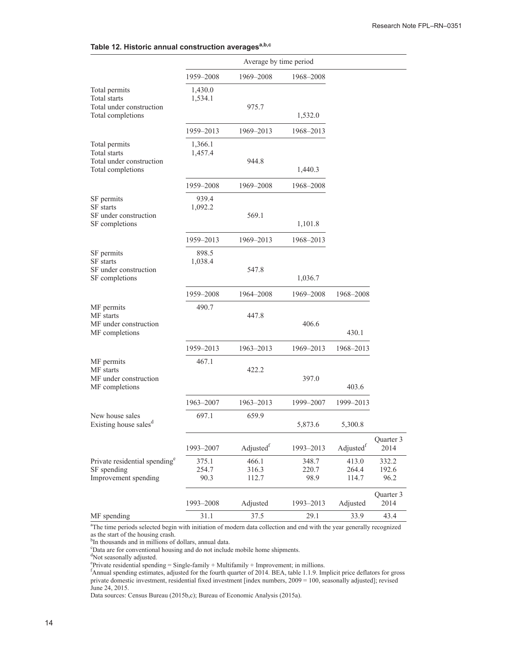| Table 12. Historic annual construction averages <sup>a,b,c</sup> |  |
|------------------------------------------------------------------|--|
|------------------------------------------------------------------|--|

|                                                                                  | Average by time period |                         |                        |                         |                        |
|----------------------------------------------------------------------------------|------------------------|-------------------------|------------------------|-------------------------|------------------------|
|                                                                                  | 1959–2008              | 1969-2008               | 1968–2008              |                         |                        |
| Total permits<br>Total starts<br>Total under construction<br>Total completions   | 1,430.0<br>1,534.1     | 975.7                   | 1,532.0                |                         |                        |
|                                                                                  | 1959-2013              | 1969–2013               | 1968-2013              |                         |                        |
| Total permits<br>Total starts<br>Total under construction<br>Total completions   | 1,366.1<br>1,457.4     | 944.8                   | 1,440.3                |                         |                        |
|                                                                                  | 1959-2008              | 1969-2008               | 1968-2008              |                         |                        |
| SF permits<br>SF starts<br>SF under construction<br>SF completions               | 939.4<br>1,092.2       | 569.1                   | 1,101.8                |                         |                        |
|                                                                                  | 1959-2013              | 1969-2013               | 1968-2013              |                         |                        |
| SF permits<br><b>SF</b> starts<br>SF under construction<br>SF completions        | 898.5<br>1,038.4       | 547.8                   | 1,036.7                |                         |                        |
|                                                                                  | 1959-2008              | 1964-2008               | 1969–2008              | 1968-2008               |                        |
| MF permits<br>MF starts<br>MF under construction<br>MF completions               | 490.7                  | 447.8                   | 406.6                  | 430.1                   |                        |
|                                                                                  | 1959-2013              | 1963-2013               | 1969-2013              | 1968-2013               |                        |
| MF permits<br>MF starts<br>MF under construction<br>MF completions               | 467.1                  | 422.2                   | 397.0                  | 403.6                   |                        |
|                                                                                  | 1963-2007              | 1963-2013               | 1999-2007              | 1999-2013               |                        |
| New house sales<br>Existing house sales <sup>d</sup>                             | 697.1                  | 659.9                   | 5,873.6                | 5,300.8                 |                        |
|                                                                                  | 1993-2007              | Adjustedf               | 1993-2013              | Adjustedf               | Quarter 3<br>2014      |
| Private residential spending <sup>e</sup><br>SF spending<br>Improvement spending | 375.1<br>254.7<br>90.3 | 466.1<br>316.3<br>112.7 | 348.7<br>220.7<br>98.9 | 413.0<br>264.4<br>114.7 | 332.2<br>192.6<br>96.2 |
|                                                                                  | 1993-2008              | Adjusted                | 1993-2013              | Adjusted                | Quarter 3<br>2014      |
| MF spending                                                                      | 31.1                   | 37.5                    | 29.1                   | 33.9                    | 43.4                   |

<sup>a</sup>The time periods selected begin with initiation of modern data collection and end with the year generally recognized

as the start of the housing crash.<br><sup>b</sup>In thousands and in millions of dollars, annual data.<br><sup>c</sup>Data are for conventional bousing and do not include

<sup>c</sup>Data are for conventional housing and do not include mobile home shipments.<br><sup>d</sup>Not seasonally adjusted.

e Private residential spending = Single-family + Multifamily + Improvement; in millions. f Annual spending estimates, adjusted for the fourth quarter of 2014. BEA, table 1.1.9. Implicit price deflators for gross private domestic investment, residential fixed investment [index numbers, 2009 = 100, seasonally adjusted]; revised June 24, 2015.

Data sources: Census Bureau (2015b,c); Bureau of Economic Analysis (2015a).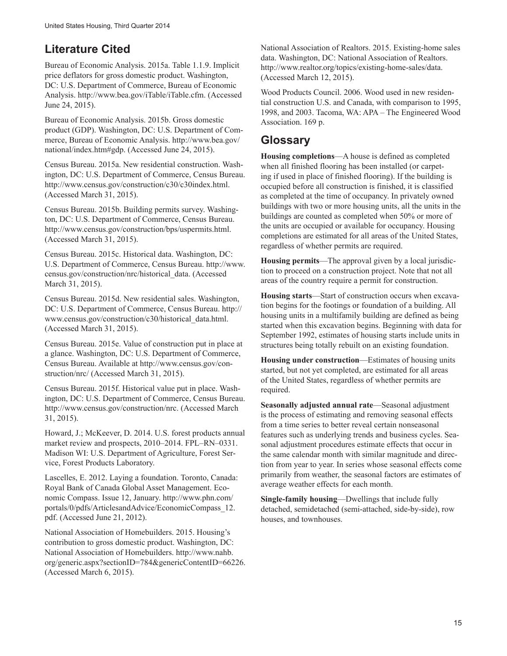### **Literature Cited**

Bureau of Economic Analysis. 2015a. Table 1.1.9. Implicit price deflators for gross domestic product. Washington, DC: U.S. Department of Commerce, Bureau of Economic Analysis. http://www.bea.gov/iTable/iTable.cfm. (Accessed June 24, 2015).

Bureau of Economic Analysis. 2015b. Gross domestic product (GDP). Washington, DC: U.S. Department of Commerce, Bureau of Economic Analysis. http://www.bea.gov/ national/index.htm#gdp. (Accessed June 24, 2015).

Census Bureau. 2015a. New residential construction. Washington, DC: U.S. Department of Commerce, Census Bureau. http://www.census.gov/construction/c30/c30index.html. (Accessed March 31, 2015).

Census Bureau. 2015b. Building permits survey. Washington, DC: U.S. Department of Commerce, Census Bureau. http://www.census.gov/construction/bps/uspermits.html. (Accessed March 31, 2015).

Census Bureau. 2015c. Historical data. Washington, DC: U.S. Department of Commerce, Census Bureau. http://www. census.gov/construction/nrc/historical\_data. (Accessed March 31, 2015).

Census Bureau. 2015d. New residential sales. Washington, DC: U.S. Department of Commerce, Census Bureau. http:// www.census.gov/construction/c30/historical\_data.html. (Accessed March 31, 2015).

Census Bureau. 2015e. Value of construction put in place at a glance. Washington, DC: U.S. Department of Commerce, Census Bureau. Available at http://www.census.gov/construction/nrc/ (Accessed March 31, 2015).

Census Bureau. 2015f. Historical value put in place. Washington, DC: U.S. Department of Commerce, Census Bureau. http://www.census.gov/construction/nrc. (Accessed March 31, 2015).

Howard, J.; McKeever, D. 2014. U.S. forest products annual market review and prospects, 2010–2014. FPL–RN–0331. Madison WI: U.S. Department of Agriculture, Forest Service, Forest Products Laboratory.

Lascelles, E. 2012. Laying a foundation. Toronto, Canada: Royal Bank of Canada Global Asset Management. Economic Compass. Issue 12, January. http://www.phn.com/ portals/0/pdfs/ArticlesandAdvice/EconomicCompass\_12. pdf. (Accessed June 21, 2012).

National Association of Homebuilders. 2015. Housing's contribution to gross domestic product. Washington, DC: National Association of Homebuilders. http://www.nahb. org/generic.aspx?sectionID=784&genericContentID=66226. (Accessed March 6, 2015).

National Association of Realtors. 2015. Existing-home sales data. Washington, DC: National Association of Realtors. http://www.realtor.org/topics/existing-home-sales/data. (Accessed March 12, 2015).

Wood Products Council. 2006. Wood used in new residential construction U.S. and Canada, with comparison to 1995, 1998, and 2003. Tacoma, WA: APA – The Engineered Wood Association. 169 p.

### **Glossary**

**Housing completions**—A house is defined as completed when all finished flooring has been installed (or carpeting if used in place of finished flooring). If the building is occupied before all construction is finished, it is classified as completed at the time of occupancy. In privately owned buildings with two or more housing units, all the units in the buildings are counted as completed when 50% or more of the units are occupied or available for occupancy. Housing completions are estimated for all areas of the United States, regardless of whether permits are required.

**Housing permits**—The approval given by a local jurisdiction to proceed on a construction project. Note that not all areas of the country require a permit for construction.

**Housing starts**—Start of construction occurs when excavation begins for the footings or foundation of a building. All housing units in a multifamily building are defined as being started when this excavation begins. Beginning with data for September 1992, estimates of housing starts include units in structures being totally rebuilt on an existing foundation.

**Housing under construction**—Estimates of housing units started, but not yet completed, are estimated for all areas of the United States, regardless of whether permits are required.

**Seasonally adjusted annual rate**—Seasonal adjustment is the process of estimating and removing seasonal effects from a time series to better reveal certain nonseasonal features such as underlying trends and business cycles. Seasonal adjustment procedures estimate effects that occur in the same calendar month with similar magnitude and direction from year to year. In series whose seasonal effects come primarily from weather, the seasonal factors are estimates of average weather effects for each month.

**Single-family housing**—Dwellings that include fully detached, semidetached (semi-attached, side-by-side), row houses, and townhouses.